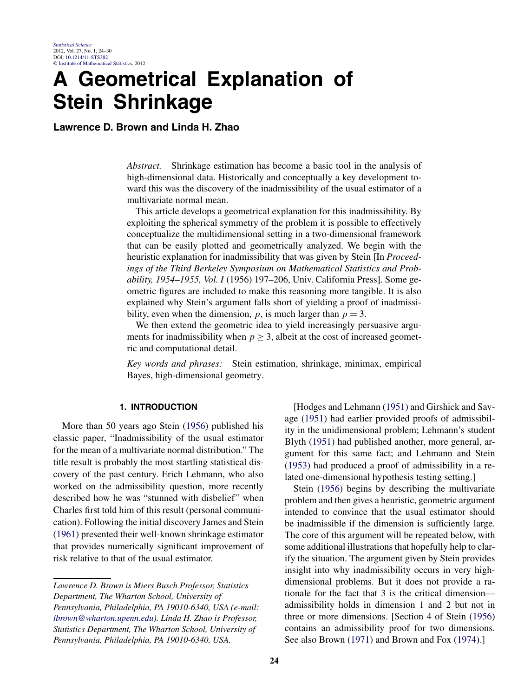# **A Geometrical Explanation of Stein Shrinkage**

**Lawrence D. Brown and Linda H. Zhao**

*Abstract.* Shrinkage estimation has become a basic tool in the analysis of high-dimensional data. Historically and conceptually a key development toward this was the discovery of the inadmissibility of the usual estimator of a multivariate normal mean.

This article develops a geometrical explanation for this inadmissibility. By exploiting the spherical symmetry of the problem it is possible to effectively conceptualize the multidimensional setting in a two-dimensional framework that can be easily plotted and geometrically analyzed. We begin with the heuristic explanation for inadmissibility that was given by Stein [In *Proceedings of the Third Berkeley Symposium on Mathematical Statistics and Probability, 1954–1955, Vol. I* (1956) 197–206, Univ. California Press]. Some geometric figures are included to make this reasoning more tangible. It is also explained why Stein's argument falls short of yielding a proof of inadmissibility, even when the dimension,  $p$ , is much larger than  $p = 3$ .

We then extend the geometric idea to yield increasingly persuasive arguments for inadmissibility when  $p \geq 3$ , albeit at the cost of increased geometric and computational detail.

*Key words and phrases:* Stein estimation, shrinkage, minimax, empirical Bayes, high-dimensional geometry.

# **1. INTRODUCTION**

More than 50 years ago Stein [\(1956\)](#page-6-0) published his classic paper, "Inadmissibility of the usual estimator for the mean of a multivariate normal distribution." The title result is probably the most startling statistical discovery of the past century. Erich Lehmann, who also worked on the admissibility question, more recently described how he was "stunned with disbelief" when Charles first told him of this result (personal communication). Following the initial discovery James and Stein [\(1961\)](#page-6-0) presented their well-known shrinkage estimator that provides numerically significant improvement of risk relative to that of the usual estimator.

[Hodges and Lehmann [\(1951\)](#page-6-0) and Girshick and Savage [\(1951\)](#page-6-0) had earlier provided proofs of admissibility in the unidimensional problem; Lehmann's student Blyth [\(1951\)](#page-6-0) had published another, more general, argument for this same fact; and Lehmann and Stein [\(1953\)](#page-6-0) had produced a proof of admissibility in a related one-dimensional hypothesis testing setting.]

Stein [\(1956\)](#page-6-0) begins by describing the multivariate problem and then gives a heuristic, geometric argument intended to convince that the usual estimator should be inadmissible if the dimension is sufficiently large. The core of this argument will be repeated below, with some additional illustrations that hopefully help to clarify the situation. The argument given by Stein provides insight into why inadmissibility occurs in very highdimensional problems. But it does not provide a rationale for the fact that 3 is the critical dimension admissibility holds in dimension 1 and 2 but not in three or more dimensions. [Section 4 of Stein [\(1956\)](#page-6-0) contains an admissibility proof for two dimensions. See also Brown [\(1971\)](#page-6-0) and Brown and Fox [\(1974\)](#page-6-0).]

*Lawrence D. Brown is Miers Busch Professor, Statistics Department, The Wharton School, University of Pennsylvania, Philadelphia, PA 19010-6340, USA (e-mail: [lbrown@wharton.upenn.edu\)](mailto:lbrown@wharton.upenn.edu). Linda H. Zhao is Professor, Statistics Department, The Wharton School, University of Pennsylvania, Philadelphia, PA 19010-6340, USA.*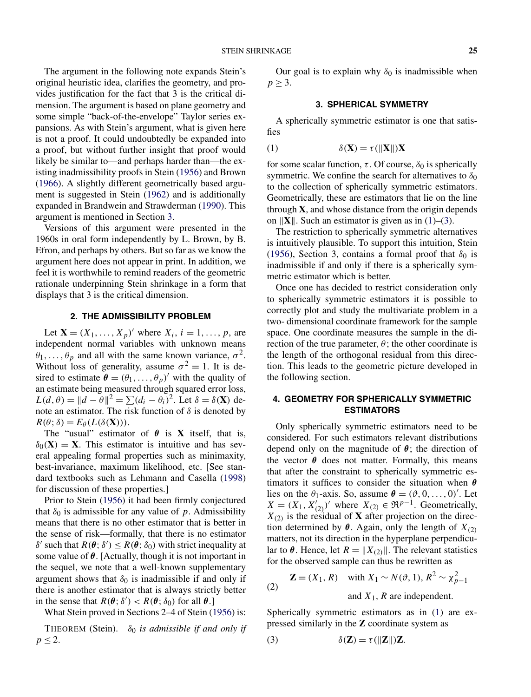The argument in the following note expands Stein's original heuristic idea, clarifies the geometry, and provides justification for the fact that 3 is the critical dimension. The argument is based on plane geometry and some simple "back-of-the-envelope" Taylor series expansions. As with Stein's argument, what is given here is not a proof. It could undoubtedly be expanded into a proof, but without further insight that proof would likely be similar to—and perhaps harder than—the existing inadmissibility proofs in Stein [\(1956\)](#page-6-0) and Brown [\(1966\)](#page-6-0). A slightly different geometrically based argument is suggested in Stein [\(1962\)](#page-6-0) and is additionally expanded in Brandwein and Strawderman [\(1990\)](#page-6-0). This argument is mentioned in Section [3.](#page-1-0)

Versions of this argument were presented in the 1960s in oral form independently by L. Brown, by B. Efron, and perhaps by others. But so far as we know the argument here does not appear in print. In addition, we feel it is worthwhile to remind readers of the geometric rationale underpinning Stein shrinkage in a form that displays that 3 is the critical dimension.

#### **2. THE ADMISSIBILITY PROBLEM**

Let **X** =  $(X_1, ..., X_p)'$  where  $X_i$ ,  $i = 1, ..., p$ , are independent normal variables with unknown means  $\theta_1, \ldots, \theta_p$  and all with the same known variance,  $\sigma^2$ . Without loss of generality, assume  $\sigma^2 = 1$ . It is desired to estimate  $\boldsymbol{\theta} = (\theta_1, \dots, \theta_p)'$  with the quality of an estimate being measured through squared error loss,  $L(d, \theta) = ||d - \theta||^2 = \sum (d_i - \theta_i)^2$ . Let  $\delta = \delta(\mathbf{X})$  denote an estimator. The risk function of  $\delta$  is denoted by  $R(\theta; \delta) = E_{\theta}(L(\delta(\mathbf{X}))).$ 

The "usual" estimator of  $\theta$  is **X** itself, that is,  $\delta_0(\mathbf{X}) = \mathbf{X}$ . This estimator is intuitive and has several appealing formal properties such as minimaxity, best-invariance, maximum likelihood, etc. [See standard textbooks such as Lehmann and Casella [\(1998\)](#page-6-0) for discussion of these properties.]

Prior to Stein [\(1956\)](#page-6-0) it had been firmly conjectured that  $\delta_0$  is admissible for any value of p. Admissibility means that there is no other estimator that is better in the sense of risk—formally, that there is no estimator δ' such that  $R(\theta; \delta') \leq R(\theta; \delta_0)$  with strict inequality at some value of  $\theta$ . [Actually, though it is not important in the sequel, we note that a well-known supplementary argument shows that  $\delta_0$  is inadmissible if and only if there is another estimator that is always strictly better in the sense that  $R(\theta; \delta') < R(\theta; \delta_0)$  for all  $\theta$ .]

What Stein proved in Sections 2–4 of Stein [\(1956\)](#page-6-0) is:

<span id="page-1-0"></span>THEOREM (Stein).  $\delta_0$  *is admissible if and only if*  $p \leq 2$ .

Our goal is to explain why  $\delta_0$  is inadmissible when  $p \geq 3$ .

#### **3. SPHERICAL SYMMETRY**

A spherically symmetric estimator is one that satisfies

(1) 
$$
\delta(\mathbf{X}) = \tau(||\mathbf{X}||)\mathbf{X}
$$

for some scalar function,  $\tau$ . Of course,  $\delta_0$  is spherically symmetric. We confine the search for alternatives to  $\delta_0$ to the collection of spherically symmetric estimators. Geometrically, these are estimators that lie on the line through **X**, and whose distance from the origin depends on  $\|\mathbf{X}\|$ . Such an estimator is given as in [\(1\)](#page-1-0)–[\(3\)](#page-1-0).

The restriction to spherically symmetric alternatives is intuitively plausible. To support this intuition, Stein [\(1956\)](#page-6-0), Section 3, contains a formal proof that  $\delta_0$  is inadmissible if and only if there is a spherically symmetric estimator which is better.

Once one has decided to restrict consideration only to spherically symmetric estimators it is possible to correctly plot and study the multivariate problem in a two- dimensional coordinate framework for the sample space. One coordinate measures the sample in the direction of the true parameter,  $\theta$ ; the other coordinate is the length of the orthogonal residual from this direction. This leads to the geometric picture developed in the following section.

# **4. GEOMETRY FOR SPHERICALLY SYMMETRIC ESTIMATORS**

Only spherically symmetric estimators need to be considered. For such estimators relevant distributions depend only on the magnitude of  $\theta$ ; the direction of the vector  $\theta$  does not matter. Formally, this means that after the constraint to spherically symmetric estimators it suffices to consider the situation when  $\theta$ lies on the  $\theta_1$ -axis. So, assume  $\theta = (\theta, 0, \dots, 0)'$ . Let  $X = (X_1, X'_{(2)})'$  where  $X_{(2)} \in \mathfrak{R}^{p-1}$ . Geometrically,  $X_{(2)}$  is the residual of **X** after projection on the direction determined by  $\theta$ . Again, only the length of  $X_{(2)}$ matters, not its direction in the hyperplane perpendicular to  $\theta$ . Hence, let  $R = \|X_{(2)}\|$ . The relevant statistics for the observed sample can thus be rewritten as

(2) 
$$
\mathbf{Z} = (X_1, R)
$$
 with  $X_1 \sim N(\vartheta, 1), R^2 \sim \chi_{p-1}^2$ 

and  $X_1$ , R are independent.

Spherically symmetric estimators as in [\(1\)](#page-1-0) are expressed similarly in the **Z** coordinate system as

(3) 
$$
\delta(\mathbf{Z}) = \tau(\|\mathbf{Z}\|)\mathbf{Z}.
$$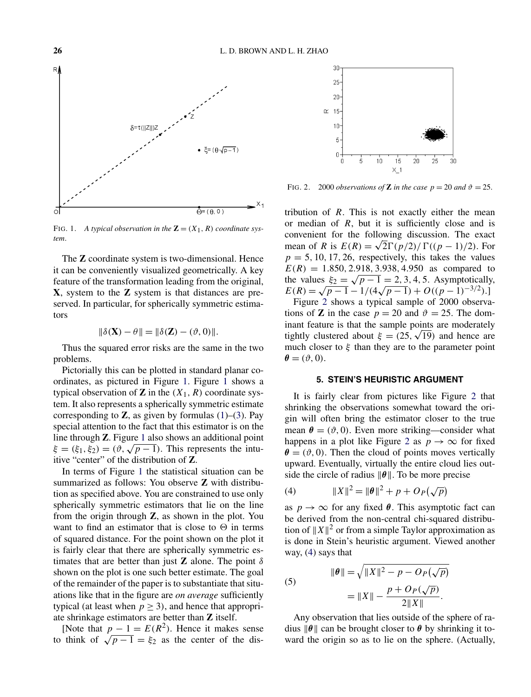

FIG. 1. A typical observation in the  $\mathbf{Z} = (X_1, R)$  coordinate sys*tem*.

The **Z** coordinate system is two-dimensional. Hence it can be conveniently visualized geometrically. A key feature of the transformation leading from the original, **X**, system to the **Z** system is that distances are preserved. In particular, for spherically symmetric estimators

$$
\|\delta(\mathbf{X}) - \theta\| = \|\delta(\mathbf{Z}) - (\vartheta, 0)\|.
$$

Thus the squared error risks are the same in the two problems.

Pictorially this can be plotted in standard planar coordinates, as pictured in Figure [1.](#page-2-0) Figure [1](#page-2-0) shows a typical observation of **Z** in the  $(X_1, R)$  coordinate system. It also represents a spherically symmetric estimate corresponding to  $\mathbb{Z}$ , as given by formulas [\(1\)](#page-1-0)–[\(3\)](#page-1-0). Pay special attention to the fact that this estimator is on the line through **Z**. Figure [1](#page-2-0) also shows an additional point  $\xi = (\xi_1, \xi_2) = (\vartheta, \sqrt{p-1})$ . This represents the intuitive "center" of the distribution of **Z**.

In terms of Figure [1](#page-2-0) the statistical situation can be summarized as follows: You observe **Z** with distribution as specified above. You are constrained to use only spherically symmetric estimators that lie on the line from the origin through **Z**, as shown in the plot. You want to find an estimator that is close to  $\Theta$  in terms of squared distance. For the point shown on the plot it is fairly clear that there are spherically symmetric estimates that are better than just **Z** alone. The point  $\delta$ shown on the plot is one such better estimate. The goal of the remainder of the paper is to substantiate that situations like that in the figure are *on average* sufficiently typical (at least when  $p > 3$ ), and hence that appropriate shrinkage estimators are better than **Z** itself.

<span id="page-2-0"></span>[Note that  $p - 1 = E(R^2)$ . Hence it makes sense to think of  $\sqrt{p-1} = \xi_2$  as the center of the dis-



FIG. 2. 2000 *observations of* **Z** *in the case*  $p = 20$  *and*  $\vartheta = 25$ .

tribution of  $R$ . This is not exactly either the mean or median of  $R$ , but it is sufficiently close and is convenient for the following discussion. The exact mean of R is  $E(R) = \sqrt{2}\Gamma(p/2)/\Gamma((p-1)/2)$ . For  $p = 5, 10, 17, 26$ , respectively, this takes the values  $E(R) = 1.850, 2.918, 3.938, 4.950$  as compared to the values  $\xi_2 = \sqrt{p-1} = 2, 3, 4, 5$ . Asymptotically,  $E(R) = \sqrt{p-1} - 1/(4\sqrt{p-1}) + O((p-1)^{-3/2}).$ 

Figure [2](#page-2-0) shows a typical sample of 2000 observations of **Z** in the case  $p = 20$  and  $\vartheta = 25$ . The dominant feature is that the sample points are moderately tightly clustered about  $\xi = (25, \sqrt{19})$  and hence are much closer to  $\xi$  than they are to the parameter point  $\theta = (\vartheta, 0).$ 

## **5. STEIN'S HEURISTIC ARGUMENT**

It is fairly clear from pictures like Figure [2](#page-2-0) that shrinking the observations somewhat toward the origin will often bring the estimator closer to the true mean  $\theta = (\vartheta, 0)$ . Even more striking—consider what happens in a plot like Figure [2](#page-2-0) as  $p \to \infty$  for fixed  $\theta = (\vartheta, 0)$ . Then the cloud of points moves vertically upward. Eventually, virtually the entire cloud lies outside the circle of radius  $\|\theta\|$ . To be more precise

(4) 
$$
||X||^2 = ||\boldsymbol{\theta}||^2 + p + O_P(\sqrt{p})
$$

as  $p \to \infty$  for any fixed  $\theta$ . This asymptotic fact can be derived from the non-central chi-squared distribution of  $||X||^2$  or from a simple Taylor approximation as is done in Stein's heuristic argument. Viewed another way, [\(4\)](#page-2-0) says that

(5)  

$$
\|\theta\| = \sqrt{\|X\|^2 - p - O_P(\sqrt{p})}
$$

$$
= \|X\| - \frac{p + O_P(\sqrt{p})}{2\|X\|}.
$$

Any observation that lies outside of the sphere of radius  $\|\theta\|$  can be brought closer to  $\theta$  by shrinking it toward the origin so as to lie on the sphere. (Actually,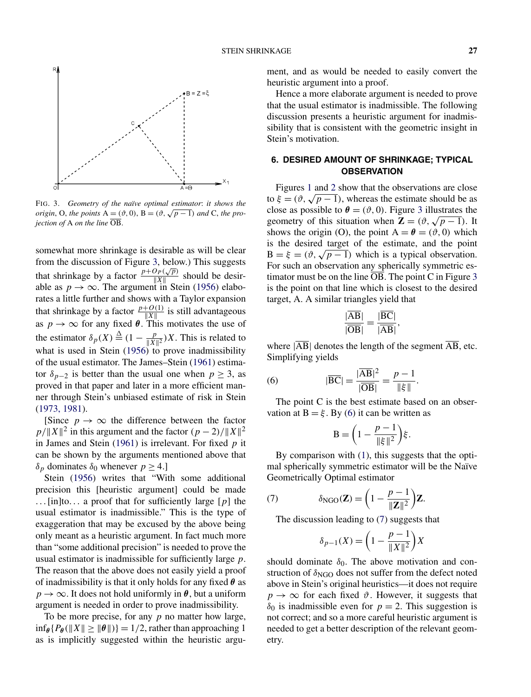

FIG. 3. *Geometry of the naïve optimal estimator*: *it shows the origin*, O, *the points* A =  $(\vartheta, 0)$ , B =  $(\vartheta, \sqrt{p-1})$  *and* C, *the projection of* A *on the line* OB.

somewhat more shrinkage is desirable as will be clear from the discussion of Figure [3,](#page-3-0) below.) This suggests that shrinkage by a factor  $\frac{p+O_P(\sqrt{p})}{||X||}$  should be desirable as  $p \to \infty$ . The argument in Stein [\(1956\)](#page-6-0) elaborates a little further and shows with a Taylor expansion that shrinkage by a factor  $\frac{p+O(1)}{\|X\|}$  is still advantageous as  $p \to \infty$  for any fixed  $\theta$ . This motivates the use of the estimator  $\delta_p(X) \stackrel{\Delta}{=} (1 - \frac{p}{\|X\|^2}) X$ . This is related to what is used in Stein  $(1956)$  to prove inadmissibility of the usual estimator. The James–Stein [\(1961\)](#page-6-0) estimator  $\delta_{p-2}$  is better than the usual one when  $p \geq 3$ , as proved in that paper and later in a more efficient manner through Stein's unbiased estimate of risk in Stein [\(1973, 1981\)](#page-6-0).

[Since  $p \to \infty$  the difference between the factor  $p/||X||^2$  in this argument and the factor  $(p-2)/||X||^2$ in James and Stein [\(1961\)](#page-6-0) is irrelevant. For fixed  $p$  it can be shown by the arguments mentioned above that δ<sub>p</sub> dominates δ<sub>0</sub> whenever  $p \ge 4$ .]

Stein [\(1956\)](#page-6-0) writes that "With some additional precision this [heuristic argument] could be made ...[in]to... a proof that for sufficiently large  $[p]$  the usual estimator is inadmissible." This is the type of exaggeration that may be excused by the above being only meant as a heuristic argument. In fact much more than "some additional precision" is needed to prove the usual estimator is inadmissible for sufficiently large  $p$ . The reason that the above does not easily yield a proof of inadmissibility is that it only holds for any fixed  $\theta$  as  $p \to \infty$ . It does not hold uniformly in  $\theta$ , but a uniform argument is needed in order to prove inadmissibility.

<span id="page-3-0"></span>To be more precise, for any  $p$  no matter how large,  $\inf_{\theta} {P_{\theta}(\Vert X \Vert \geq \Vert \theta \Vert)} = 1/2$ , rather than approaching 1 as is implicitly suggested within the heuristic argument, and as would be needed to easily convert the heuristic argument into a proof.

Hence a more elaborate argument is needed to prove that the usual estimator is inadmissible. The following discussion presents a heuristic argument for inadmissibility that is consistent with the geometric insight in Stein's motivation.

## **6. DESIRED AMOUNT OF SHRINKAGE; TYPICAL OBSERVATION**

Figures [1](#page-2-0) and [2](#page-2-0) show that the observations are close to  $\xi = (\vartheta, \sqrt{p-1})$ , whereas the estimate should be as close as possible to  $\theta = (\vartheta, 0)$ . Figure [3](#page-3-0) illustrates the geometry of this situation when  $\mathbf{Z} = (\vartheta, \sqrt{p-1})$ . It shows the origin (O), the point  $A = \theta = (\vartheta, 0)$  which is the desired target of the estimate, and the point  $B = \xi = (\vartheta, \sqrt{p-1})$  which is a typical observation. For such an observation any spherically symmetric estimator must be on the line OB. The point C in Figure [3](#page-3-0) is the point on that line which is closest to the desired target, A. A similar triangles yield that

$$
\frac{|\overline{AB}|}{|\overline{OB}|} = \frac{|\overline{BC}|}{|\overline{AB}|},
$$

where  $|\overline{AB}|$  denotes the length of the segment  $\overline{AB}$ , etc. Simplifying yields

(6) 
$$
|\overline{BC}| = \frac{|\overline{AB}|^2}{|\overline{OB}|} = \frac{p-1}{\|\xi\|}.
$$

The point C is the best estimate based on an observation at  $B = \xi$ . By [\(6\)](#page-3-0) it can be written as

$$
\mathbf{B} = \left(1 - \frac{p-1}{\|\xi\|^2}\right)\xi.
$$

By comparison with [\(1\)](#page-1-0), this suggests that the optimal spherically symmetric estimator will be the Naïve Geometrically Optimal estimator

(7) 
$$
\delta_{\text{NGO}}(\mathbf{Z}) = \left(1 - \frac{p-1}{\|\mathbf{Z}\|^2}\right)\mathbf{Z}.
$$

The discussion leading to [\(7\)](#page-3-0) suggests that

$$
\delta_{p-1}(X) = \left(1 - \frac{p-1}{\|X\|^2}\right)X
$$

should dominate  $\delta_0$ . The above motivation and construction of  $\delta_{NGO}$  does not suffer from the defect noted above in Stein's original heuristics—it does not require  $p \rightarrow \infty$  for each fixed  $\vartheta$ . However, it suggests that  $\delta_0$  is inadmissible even for  $p = 2$ . This suggestion is not correct; and so a more careful heuristic argument is needed to get a better description of the relevant geometry.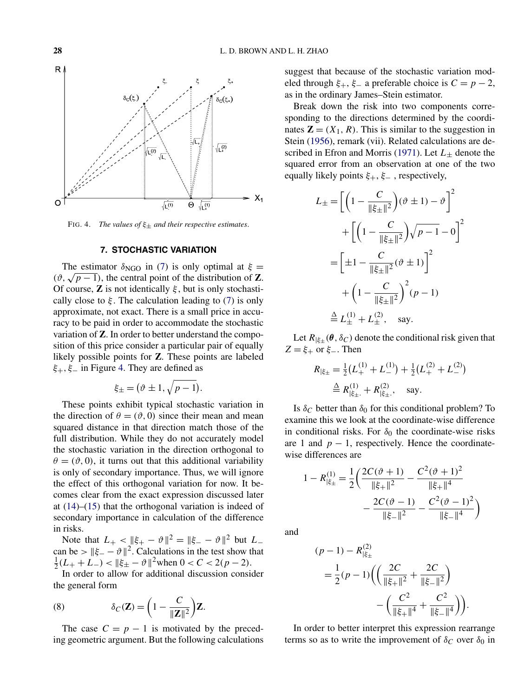

FIG. 4. *The values of* ξ<sup>±</sup> *and their respective estimates*.

# **7. STOCHASTIC VARIATION**

The estimator  $\delta_{\rm NGO}$  in [\(7\)](#page-3-0) is only optimal at  $\xi =$ ( $\vartheta$ ,  $\sqrt{p-1}$ ), the central point of the distribution of **Z**. Of course, **Z** is not identically  $\xi$ , but is only stochastically close to  $\xi$ . The calculation leading to [\(7\)](#page-3-0) is only approximate, not exact. There is a small price in accuracy to be paid in order to accommodate the stochastic variation of **Z**. In order to better understand the composition of this price consider a particular pair of equally likely possible points for **Z**. These points are labeled  $\xi_+, \xi_-$  in Figure [4.](#page-4-0) They are defined as

$$
\xi_{\pm} = (\vartheta \pm 1, \sqrt{p-1}).
$$

These points exhibit typical stochastic variation in the direction of  $\theta = (\vartheta, 0)$  since their mean and mean squared distance in that direction match those of the full distribution. While they do not accurately model the stochastic variation in the direction orthogonal to  $\theta = (\vartheta, 0)$ , it turns out that this additional variability is only of secondary importance. Thus, we will ignore the effect of this orthogonal variation for now. It becomes clear from the exact expression discussed later at  $(14)$ – $(15)$  that the orthogonal variation is indeed of secondary importance in calculation of the difference in risks.

Note that  $L_{+} < ||\xi_{+} - \vartheta||^{2} = ||\xi_{-} - \vartheta||^{2}$  but  $L_{-}$ can be >  $||\xi - \vartheta||^2$ . Calculations in the test show that  $\frac{1}{2}(L_{+} + L_{-}) < ||\xi_{+} - \vartheta||^{2}$  when  $0 < C < 2(p - 2)$ .

In order to allow for additional discussion consider the general form

(8) 
$$
\delta_C(\mathbf{Z}) = \left(1 - \frac{C}{\|\mathbf{Z}\|^2}\right)\mathbf{Z}.
$$

<span id="page-4-0"></span>The case  $C = p - 1$  is motivated by the preceding geometric argument. But the following calculations suggest that because of the stochastic variation modeled through  $\xi_+$ ,  $\xi_-$  a preferable choice is  $C = p - 2$ , as in the ordinary James–Stein estimator.

Break down the risk into two components corresponding to the directions determined by the coordinates  $\mathbf{Z} = (X_1, R)$ . This is similar to the suggestion in Stein [\(1956\)](#page-6-0), remark (vii). Related calculations are de-scribed in Efron and Morris [\(1971\)](#page-6-0). Let  $L_{\pm}$  denote the squared error from an observation at one of the two equally likely points  $\xi_+$ ,  $\xi_-$ , respectively,

$$
L_{\pm} = \left[ \left( 1 - \frac{C}{\|\xi_{\pm}\|^2} \right) (\vartheta \pm 1) - \vartheta \right]^2
$$
  
+ 
$$
\left[ \left( 1 - \frac{C}{\|\xi_{\pm}\|^2} \right) \sqrt{p - 1} - 0 \right]^2
$$
  
= 
$$
\left[ \pm 1 - \frac{C}{\|\xi_{\pm}\|^2} (\vartheta \pm 1) \right]^2
$$
  
+ 
$$
\left( 1 - \frac{C}{\|\xi_{\pm}\|^2} \right)^2 (p - 1)
$$
  

$$
\stackrel{\Delta}{=} L_{\pm}^{(1)} + L_{\pm}^{(2)}, \text{ say.}
$$

Let  $R_{\xi_{\pm}}(\theta, \delta_C)$  denote the conditional risk given that  $Z = \xi_+$  or  $\xi_-$ . Then

$$
R_{|\xi_{\pm}} = \frac{1}{2}(L_{+}^{(1)} + L_{-}^{(1)}) + \frac{1}{2}(L_{+}^{(2)} + L_{-}^{(2)})
$$
  
\n
$$
\stackrel{\Delta}{=} R_{|\xi_{\pm}}^{(1)} + R_{|\xi_{\pm}}^{(2)}, \text{ say.}
$$

Is  $\delta_C$  better than  $\delta_0$  for this conditional problem? To examine this we look at the coordinate-wise difference in conditional risks. For  $\delta_0$  the coordinate-wise risks are 1 and  $p - 1$ , respectively. Hence the coordinatewise differences are

$$
1 - R_{|\xi_{\pm}}^{(1)} = \frac{1}{2} \left( \frac{2C(\vartheta + 1)}{||\xi_{+}||^2} - \frac{C^2(\vartheta + 1)^2}{||\xi_{+}||^4} - \frac{2C(\vartheta - 1)}{||\xi_{-}||^2} - \frac{C^2(\vartheta - 1)^2}{||\xi_{-}||^4} \right)
$$

and

$$
(p-1) - R_{|\xi_{\pm}}^{(2)}
$$
  
=  $\frac{1}{2}(p-1) \Biggl( \Biggl( \frac{2C}{\|\xi_{+}\|^2} + \frac{2C}{\|\xi_{-}\|^2} \Biggr) - \Biggl( \frac{C^2}{\|\xi_{+}\|^4} + \frac{C^2}{\|\xi_{-}\|^4} \Biggr) \Biggr).$ 

In order to better interpret this expression rearrange terms so as to write the improvement of  $\delta_C$  over  $\delta_0$  in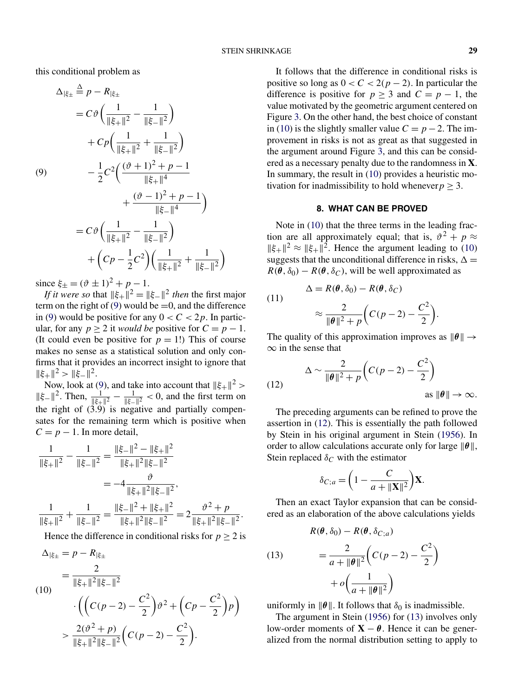$($ 

this conditional problem as

$$
\Delta_{|\xi_{\pm}} \stackrel{\Delta}{=} p - R_{|\xi_{\pm}} \n= C \vartheta \left( \frac{1}{||\xi_{+}||^2} - \frac{1}{||\xi_{-}||^2} \right) \n+ C p \left( \frac{1}{||\xi_{+}||^2} + \frac{1}{||\xi_{-}||^2} \right) \n- \frac{1}{2} C^2 \left( \frac{(\vartheta + 1)^2 + p - 1}{||\xi_{+}||^4} + \frac{(\vartheta - 1)^2 + p - 1}{||\xi_{-}||^4} \right) \n= C \vartheta \left( \frac{1}{||\xi_{+}||^2} - \frac{1}{||\xi_{-}||^2} \right) \n+ \left( C p - \frac{1}{2} C^2 \right) \left( \frac{1}{||\xi_{+}||^2} + \frac{1}{||\xi_{-}||^2} \right)
$$

since  $\xi_{\pm} = (\vartheta \pm 1)^2 + p - 1$ .

*If it were so* that  $||\xi_{+}||^2 = ||\xi_{-}||^2$  *then* the first major term on the right of [\(9\)](#page-5-0) would be  $=0$ , and the difference in [\(9\)](#page-5-0) would be positive for any  $0 < C < 2p$ . In particular, for any  $p \ge 2$  it *would be* positive for  $C = p - 1$ . (It could even be positive for  $p = 1!$ ) This of course makes no sense as a statistical solution and only confirms that it provides an incorrect insight to ignore that  $\|\xi_+\|^2 > \|\xi_-\|^2$ .

Now, look at [\(9\)](#page-5-0), and take into account that  $||\xi_+||^2 >$  $\|\xi-\|^2$ . Then,  $\frac{1}{\|\xi+\|^2} - \frac{1}{\|\xi-\|^2} < 0$ , and the first term on the right of (3.9) is negative and partially compensates for the remaining term which is positive when  $C = p - 1$ . In more detail,

$$
\frac{1}{\|\xi_{+}\|^2} - \frac{1}{\|\xi_{-}\|^2} = \frac{\|\xi_{-}\|^2 - \|\xi_{+}\|^2}{\|\xi_{+}\|^2 \|\xi_{-}\|^2}
$$

$$
= -4 \frac{\vartheta}{\|\xi_{+}\|^2 \|\xi_{-}\|^2},
$$

$$
\frac{1}{\|\xi_{+}\|^2} + \frac{1}{\|\xi_{-}\|^2} = \frac{\|\xi_{-}\|^2 + \|\xi_{+}\|^2}{\|\xi_{+}\|^2 \|\xi_{-}\|^2} = 2 \frac{\vartheta^2 + p}{\|\xi_{+}\|^2 \|\xi_{-}\|^2}.
$$

Hence the difference in conditional risks for  $p \geq 2$  is

<span id="page-5-0"></span>
$$
\Delta_{|\xi_{\pm}} = p - R_{|\xi_{\pm}} \n= \frac{2}{\|\xi_{+}\|^2 \|\xi_{-}\|^2} \n\cdot \left( \left( C(p - 2) - \frac{C^2}{2} \right) \vartheta^2 + \left( Cp - \frac{C^2}{2} \right) p \right) \n> \frac{2(\vartheta^2 + p)}{\|\xi_{+}\|^2 \|\xi_{-}\|^2} \left( C(p - 2) - \frac{C^2}{2} \right).
$$

It follows that the difference in conditional risks is positive so long as  $0 < C < 2(p-2)$ . In particular the difference is positive for  $p \ge 3$  and  $C = p - 1$ , the value motivated by the geometric argument centered on Figure [3.](#page-3-0) On the other hand, the best choice of constant in [\(10\)](#page-5-0) is the slightly smaller value  $C = p - 2$ . The improvement in risks is not as great as that suggested in the argument around Figure [3,](#page-3-0) and this can be considered as a necessary penalty due to the randomness in **X**. In summary, the result in [\(10\)](#page-5-0) provides a heuristic motivation for inadmissibility to hold whenever  $p \geq 3$ .

#### **8. WHAT CAN BE PROVED**

Note in [\(10\)](#page-5-0) that the three terms in the leading fraction are all approximately equal; that is,  $\vartheta^2 + p \approx$  $\|\xi_+\|^2 \approx \|\xi_+\|^2$ . Hence the argument leading to [\(10\)](#page-5-0) suggests that the unconditional difference in risks,  $\Delta =$  $R(\theta, \delta_0) - R(\theta, \delta_C)$ , will be well approximated as

11)  
\n
$$
\Delta = R(\theta, \delta_0) - R(\theta, \delta_C)
$$
\n
$$
\approx \frac{2}{\|\theta\|^2 + p} \left( C(p - 2) - \frac{C^2}{2} \right).
$$

The quality of this approximation improves as  $\|\theta\| \rightarrow$  $\infty$  in the sense that

(12) 
$$
\Delta \sim \frac{2}{\|\theta\|^2 + p} \left( C(p-2) - \frac{C^2}{2} \right)
$$
as  $\|\theta\| \to \infty$ .

The preceding arguments can be refined to prove the assertion in [\(12\)](#page-5-0). This is essentially the path followed by Stein in his original argument in Stein [\(1956\)](#page-6-0). In order to allow calculations accurate only for large  $\|\theta\|$ , Stein replaced  $\delta_C$  with the estimator

$$
\delta_{C;a} = \left(1 - \frac{C}{a + ||\mathbf{X}||^2}\right) \mathbf{X}.
$$

Then an exact Taylor expansion that can be considered as an elaboration of the above calculations yields

(13)  

$$
R(\theta, \delta_0) - R(\theta, \delta_{C; a})
$$

$$
= \frac{2}{a + \|\theta\|^2} \left( C(p - 2) - \frac{C^2}{2} \right)
$$

$$
+ o\left( \frac{1}{a + \|\theta\|^2} \right)
$$

uniformly in  $\|\theta\|$ . It follows that  $\delta_0$  is inadmissible.

The argument in Stein [\(1956\)](#page-6-0) for [\(13\)](#page-5-0) involves only low-order moments of  $X - \theta$ . Hence it can be generalized from the normal distribution setting to apply to